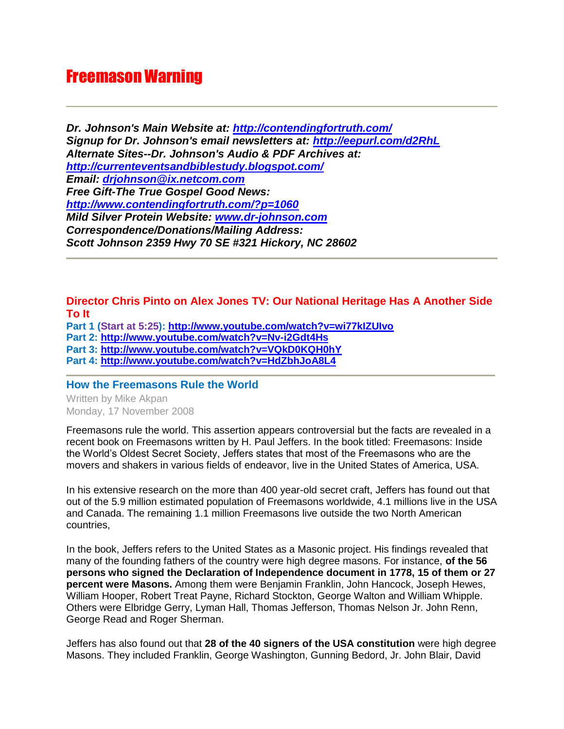# Freemason Warning

*Dr. Johnson's Main Website at:<http://contendingfortruth.com/> Signup for Dr. Johnson's email newsletters at:<http://eepurl.com/d2RhL> Alternate Sites--Dr. Johnson's Audio & PDF Archives at: <http://currenteventsandbiblestudy.blogspot.com/> Email: [drjohnson@ix.netcom.com](mailto:drjohnson@ix.netcom.com) Free Gift-The True Gospel Good News: <http://www.contendingfortruth.com/?p=1060> Mild Silver Protein Website: [www.dr-johnson.com](http://www.dr-johnson.com/) Correspondence/Donations/Mailing Address: Scott Johnson 2359 Hwy 70 SE #321 Hickory, NC 28602*

# **Director Chris Pinto on Alex Jones TV: Our National Heritage Has A Another Side To It**

**Part 1 (Start at 5:25):<http://www.youtube.com/watch?v=wi77kIZUIvo>**

**Part 2:<http://www.youtube.com/watch?v=Nv-i2Gdt4Hs>**

**Part 3:<http://www.youtube.com/watch?v=VQkD0KQH0hY>**

**Part 4:<http://www.youtube.com/watch?v=HdZbhJoA8L4>**

**How the Freemasons Rule the World** 

Written by Mike Akpan Monday, 17 November 2008

Freemasons rule the world. This assertion appears controversial but the facts are revealed in a recent book on Freemasons written by H. Paul Jeffers. In the book titled: Freemasons: Inside the World's Oldest Secret Society, Jeffers states that most of the Freemasons who are the movers and shakers in various fields of endeavor, live in the United States of America, USA.

In his extensive research on the more than 400 year-old secret craft, Jeffers has found out that out of the 5.9 million estimated population of Freemasons worldwide, 4.1 millions live in the USA and Canada. The remaining 1.1 million Freemasons live outside the two North American countries,

In the book, Jeffers refers to the United States as a Masonic project. His findings revealed that many of the founding fathers of the country were high degree masons. For instance, **of the 56 persons who signed the Declaration of Independence document in 1778, 15 of them or 27 percent were Masons.** Among them were Benjamin Franklin, John Hancock, Joseph Hewes, William Hooper, Robert Treat Payne, Richard Stockton, George Walton and William Whipple. Others were Elbridge Gerry, Lyman Hall, Thomas Jefferson, Thomas Nelson Jr. John Renn, George Read and Roger Sherman.

Jeffers has also found out that **28 of the 40 signers of the USA constitution** were high degree Masons. They included Franklin, George Washington, Gunning Bedord, Jr. John Blair, David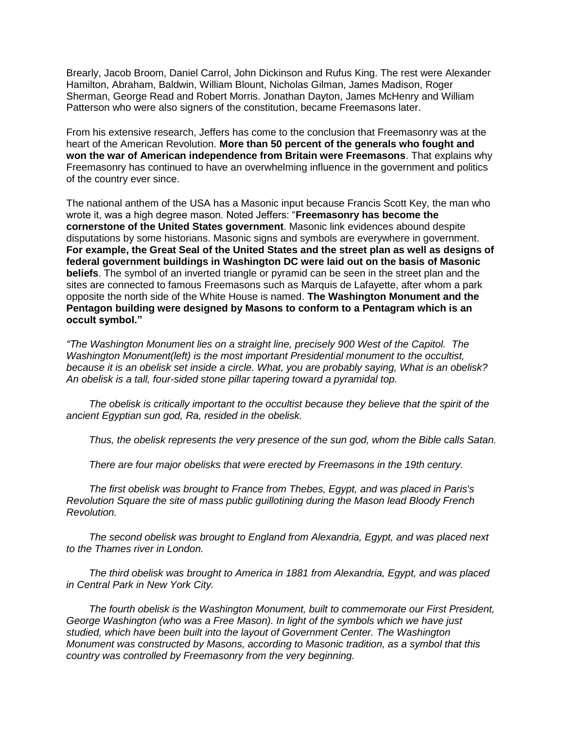Brearly, Jacob Broom, Daniel Carrol, John Dickinson and Rufus King. The rest were Alexander Hamilton, Abraham, Baldwin, William Blount, Nicholas Gilman, James Madison, Roger Sherman, George Read and Robert Morris. Jonathan Dayton, James McHenry and William Patterson who were also signers of the constitution, became Freemasons later.

From his extensive research, Jeffers has come to the conclusion that Freemasonry was at the heart of the American Revolution. **More than 50 percent of the generals who fought and won the war of American independence from Britain were Freemasons**. That explains why Freemasonry has continued to have an overwhelming influence in the government and politics of the country ever since.

The national anthem of the USA has a Masonic input because Francis Scott Key, the man who wrote it, was a high degree mason. Noted Jeffers: "**Freemasonry has become the cornerstone of the United States government**. Masonic link evidences abound despite disputations by some historians. Masonic signs and symbols are everywhere in government. **For example, the Great Seal of the United States and the street plan as well as designs of federal government buildings in Washington DC were laid out on the basis of Masonic beliefs**. The symbol of an inverted triangle or pyramid can be seen in the street plan and the sites are connected to famous Freemasons such as Marquis de Lafayette, after whom a park opposite the north side of the White House is named. **The Washington Monument and the Pentagon building were designed by Masons to conform to a Pentagram which is an occult symbol."**

*"The Washington Monument lies on a straight line, precisely 900 West of the Capitol. The Washington Monument(left) is the most important Presidential monument to the occultist, because it is an obelisk set inside a circle. What, you are probably saying, What is an obelisk? An obelisk is a tall, four-sided stone pillar tapering toward a pyramidal top.* 

 *The obelisk is critically important to the occultist because they believe that the spirit of the ancient Egyptian sun god, Ra, resided in the obelisk.* 

 *Thus, the obelisk represents the very presence of the sun god, whom the Bible calls Satan.* 

 *There are four major obelisks that were erected by Freemasons in the 19th century.* 

 *The first obelisk was brought to France from Thebes, Egypt, and was placed in Paris's Revolution Square the site of mass public guillotining during the Mason lead Bloody French Revolution.* 

 *The second obelisk was brought to England from Alexandria, Egypt, and was placed next to the Thames river in London.* 

 *The third obelisk was brought to America in 1881 from Alexandria, Egypt, and was placed in Central Park in New York City.* 

 *The fourth obelisk is the Washington Monument, built to commemorate our First President, George Washington (who was a Free Mason). In light of the symbols which we have just studied, which have been built into the layout of Government Center. The Washington Monument was constructed by Masons, according to Masonic tradition, as a symbol that this country was controlled by Freemasonry from the very beginning.*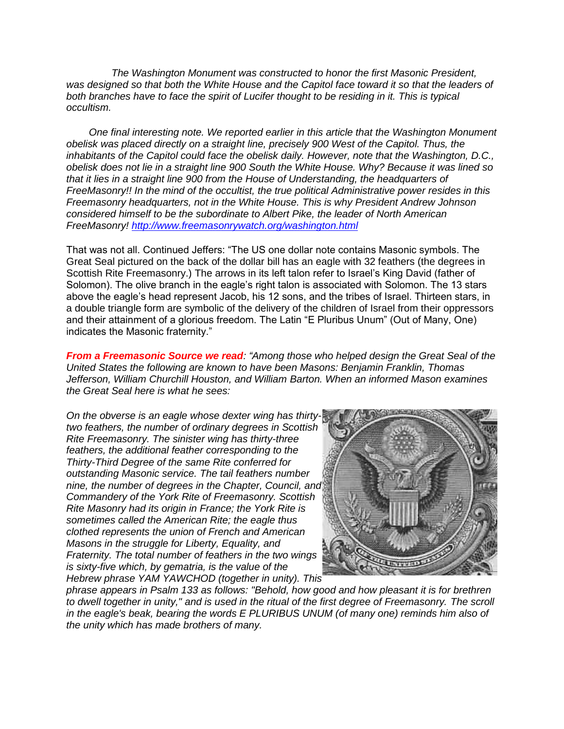*The Washington Monument was constructed to honor the first Masonic President,*  was designed so that both the White House and the Capitol face toward it so that the leaders of *both branches have to face the spirit of Lucifer thought to be residing in it. This is typical occultism.* 

 *One final interesting note. We reported earlier in this article that the Washington Monument obelisk was placed directly on a straight line, precisely 900 West of the Capitol. Thus, the inhabitants of the Capitol could face the obelisk daily. However, note that the Washington, D.C., obelisk does not lie in a straight line 900 South the White House. Why? Because it was lined so that it lies in a straight line 900 from the House of Understanding, the headquarters of FreeMasonry!! In the mind of the occultist, the true political Administrative power resides in this Freemasonry headquarters, not in the White House. This is why President Andrew Johnson considered himself to be the subordinate to Albert Pike, the leader of North American FreeMasonry! <http://www.freemasonrywatch.org/washington.html>*

That was not all. Continued Jeffers: "The US one dollar note contains Masonic symbols. The Great Seal pictured on the back of the dollar bill has an eagle with 32 feathers (the degrees in Scottish Rite Freemasonry.) The arrows in its left talon refer to Israel's King David (father of Solomon). The olive branch in the eagle's right talon is associated with Solomon. The 13 stars above the eagle's head represent Jacob, his 12 sons, and the tribes of Israel. Thirteen stars, in a double triangle form are symbolic of the delivery of the children of Israel from their oppressors and their attainment of a glorious freedom. The Latin "E Pluribus Unum" (Out of Many, One) indicates the Masonic fraternity."

*From a Freemasonic Source we read: "Among those who helped design the Great Seal of the United States the following are known to have been Masons: Benjamin Franklin, Thomas Jefferson, William Churchill Houston, and William Barton. When an informed Mason examines the Great Seal here is what he sees:*

*On the obverse is an eagle whose dexter wing has thirtytwo feathers, the number of ordinary degrees in Scottish Rite Freemasonry. The sinister wing has thirty-three feathers, the additional feather corresponding to the Thirty-Third Degree of the same Rite conferred for outstanding Masonic service. The tail feathers number nine, the number of degrees in the Chapter, Council, and Commandery of the York Rite of Freemasonry. Scottish Rite Masonry had its origin in France; the York Rite is sometimes called the American Rite; the eagle thus clothed represents the union of French and American Masons in the struggle for Liberty, Equality, and Fraternity. The total number of feathers in the two wings is sixty-five which, by gematria, is the value of the Hebrew phrase YAM YAWCHOD (together in unity). This* 



*phrase appears in Psalm 133 as follows: "Behold, how good and how pleasant it is for brethren to dwell together in unity," and is used in the ritual of the first degree of Freemasonry. The scroll in the eagle's beak, bearing the words E PLURIBUS UNUM (of many one) reminds him also of the unity which has made brothers of many.*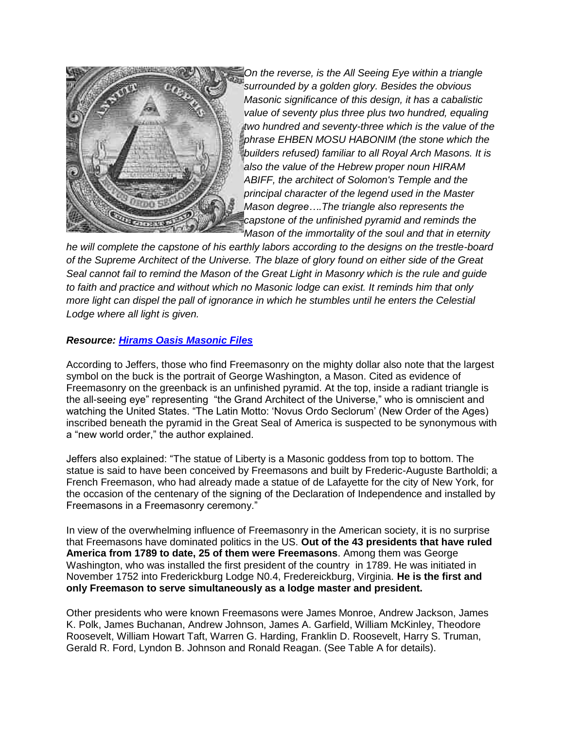

*On the reverse, is the All Seeing Eye within a triangle surrounded by a golden glory. Besides the obvious Masonic significance of this design, it has a cabalistic value of seventy plus three plus two hundred, equaling two hundred and seventy-three which is the value of the phrase EHBEN MOSU HABONIM (the stone which the builders refused) familiar to all Royal Arch Masons. It is also the value of the Hebrew proper noun HIRAM ABIFF, the architect of Solomon's Temple and the principal character of the legend used in the Master Mason degree….The triangle also represents the capstone of the unfinished pyramid and reminds the Mason of the immortality of the soul and that in eternity* 

*he will complete the capstone of his earthly labors according to the designs on the trestle-board of the Supreme Architect of the Universe. The blaze of glory found on either side of the Great Seal cannot fail to remind the Mason of the Great Light in Masonry which is the rule and guide to faith and practice and without which no Masonic lodge can exist. It reminds him that only more light can dispel the pall of ignorance in which he stumbles until he enters the Celestial Lodge where all light is given.* 

# *Resource: [Hirams Oasis Masonic Files](http://www.kena.org/hirams/masonic_symbolism.htm)*

According to Jeffers, those who find Freemasonry on the mighty dollar also note that the largest symbol on the buck is the portrait of George Washington, a Mason. Cited as evidence of Freemasonry on the greenback is an unfinished pyramid. At the top, inside a radiant triangle is the all-seeing eye" representing "the Grand Architect of the Universe," who is omniscient and watching the United States. "The Latin Motto: 'Novus Ordo Seclorum' (New Order of the Ages) inscribed beneath the pyramid in the Great Seal of America is suspected to be synonymous with a "new world order," the author explained.

Jeffers also explained: "The statue of Liberty is a Masonic goddess from top to bottom. The statue is said to have been conceived by Freemasons and built by Frederic-Auguste Bartholdi; a French Freemason, who had already made a statue of de Lafayette for the city of New York, for the occasion of the centenary of the signing of the Declaration of Independence and installed by Freemasons in a Freemasonry ceremony."

In view of the overwhelming influence of Freemasonry in the American society, it is no surprise that Freemasons have dominated politics in the US. **Out of the 43 presidents that have ruled America from 1789 to date, 25 of them were Freemasons**. Among them was George Washington, who was installed the first president of the country in 1789. He was initiated in November 1752 into Frederickburg Lodge N0.4, Fredereickburg, Virginia. **He is the first and only Freemason to serve simultaneously as a lodge master and president.**

Other presidents who were known Freemasons were James Monroe, Andrew Jackson, James K. Polk, James Buchanan, Andrew Johnson, James A. Garfield, William McKinley, Theodore Roosevelt, William Howart Taft, Warren G. Harding, Franklin D. Roosevelt, Harry S. Truman, Gerald R. Ford, Lyndon B. Johnson and Ronald Reagan. (See Table A for details).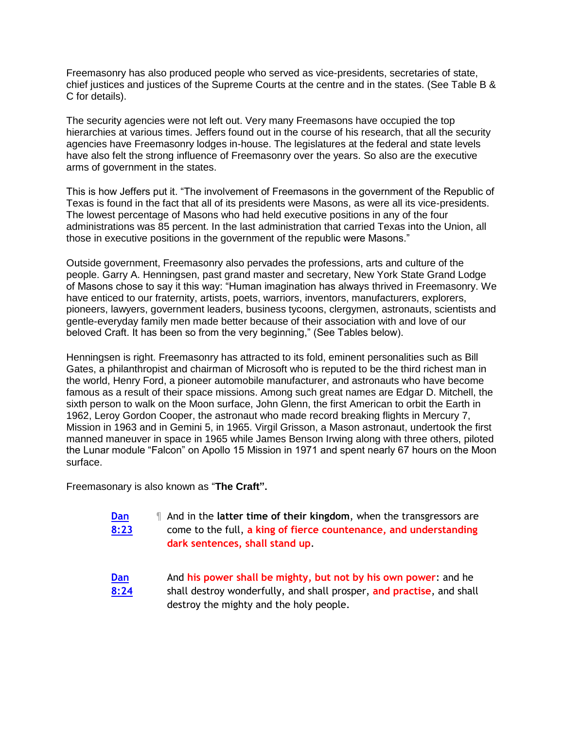Freemasonry has also produced people who served as vice-presidents, secretaries of state, chief justices and justices of the Supreme Courts at the centre and in the states. (See Table B & C for details).

The security agencies were not left out. Very many Freemasons have occupied the top hierarchies at various times. Jeffers found out in the course of his research, that all the security agencies have Freemasonry lodges in-house. The legislatures at the federal and state levels have also felt the strong influence of Freemasonry over the years. So also are the executive arms of government in the states.

This is how Jeffers put it. "The involvement of Freemasons in the government of the Republic of Texas is found in the fact that all of its presidents were Masons, as were all its vice-presidents. The lowest percentage of Masons who had held executive positions in any of the four administrations was 85 percent. In the last administration that carried Texas into the Union, all those in executive positions in the government of the republic were Masons."

Outside government, Freemasonry also pervades the professions, arts and culture of the people. Garry A. Henningsen, past grand master and secretary, New York State Grand Lodge of Masons chose to say it this way: "Human imagination has always thrived in Freemasonry. We have enticed to our fraternity, artists, poets, warriors, inventors, manufacturers, explorers, pioneers, lawyers, government leaders, business tycoons, clergymen, astronauts, scientists and gentle-everyday family men made better because of their association with and love of our beloved Craft. It has been so from the very beginning," (See Tables below).

Henningsen is right. Freemasonry has attracted to its fold, eminent personalities such as Bill Gates, a philanthropist and chairman of Microsoft who is reputed to be the third richest man in the world, Henry Ford, a pioneer automobile manufacturer, and astronauts who have become famous as a result of their space missions. Among such great names are Edgar D. Mitchell, the sixth person to walk on the Moon surface, John Glenn, the first American to orbit the Earth in 1962, Leroy Gordon Cooper, the astronaut who made record breaking flights in Mercury 7, Mission in 1963 and in Gemini 5, in 1965. Virgil Grisson, a Mason astronaut, undertook the first manned maneuver in space in 1965 while James Benson Irwing along with three others, piloted the Lunar module "Falcon" on Apollo 15 Mission in 1971 and spent nearly 67 hours on the Moon surface.

Freemasonary is also known as "**The Craft".** 

- **[Dan](http://www.blueletterbible.org/Bible.cfm?b=Dan&c=8&v=25&t=KJV#comm/23)  [8:23](http://www.blueletterbible.org/Bible.cfm?b=Dan&c=8&v=25&t=KJV#comm/23)** ¶ And in the **latter time of their kingdom**, when the transgressors are come to the full, **a king of fierce countenance, and understanding dark sentences, shall stand up**.
- **[Dan](http://www.blueletterbible.org/Bible.cfm?b=Dan&c=8&v=25&t=KJV#comm/24)  [8:24](http://www.blueletterbible.org/Bible.cfm?b=Dan&c=8&v=25&t=KJV#comm/24)** And **his power shall be mighty, but not by his own power**: and he shall destroy wonderfully, and shall prosper, **and practise**, and shall destroy the mighty and the holy people.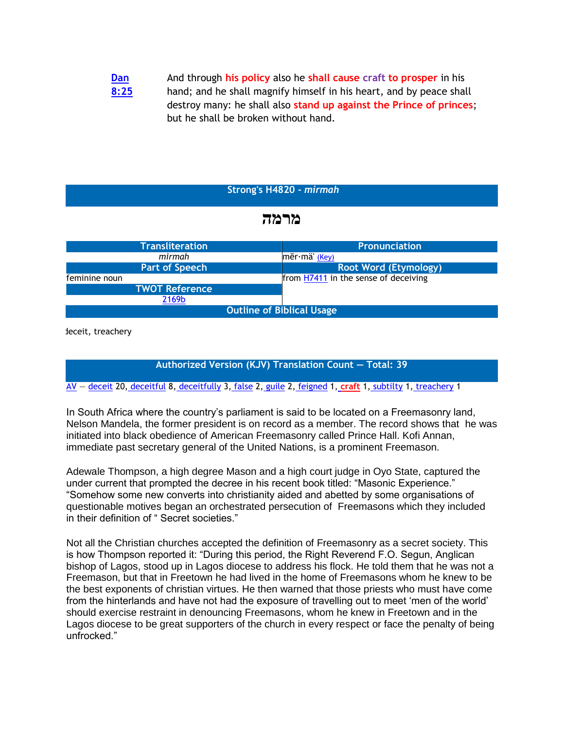#### **[Dan](http://www.blueletterbible.org/Bible.cfm?b=Dan&c=8&v=25&t=KJV#comm/25)  [8:25](http://www.blueletterbible.org/Bible.cfm?b=Dan&c=8&v=25&t=KJV#comm/25)** And through **his policy** also he **shall cause craft to prosper** in his hand; and he shall magnify himself in his heart, and by peace shall destroy many: he shall also **stand up against the Prince of princes**; but he shall be broken without hand.

#### **Strong's H4820 -** *mirmah*

# **מרמה**

| <b>Transliteration</b>           | <b>Pronunciation</b>                 |
|----------------------------------|--------------------------------------|
| mirmah                           | $m\bar{e}r\cdot m\ddot{a}'$ (Key)    |
| <b>Part of Speech</b>            | <b>Root Word (Etymology)</b>         |
| feminine noun                    | from H7411 in the sense of deceiving |
| <b>TWOT Reference</b>            |                                      |
| 2169b                            |                                      |
| <b>Outline of Biblical Usage</b> |                                      |

**1)** deceit, treachery

# **Authorized Version (KJV) Translation Count — Total: 39**

[AV](http://www.blueletterbible.org/lang/lexicon/lexicon.cfm?Strongs=H4820&t=KJV) — [deceit](http://www.blueletterbible.org/search/preSearch.cfm?Criteria=deceit*+H4820) 20, [deceitful](http://www.blueletterbible.org/search/preSearch.cfm?Criteria=%20deceitful*+H4820) 8, [deceitfully](http://www.blueletterbible.org/search/preSearch.cfm?Criteria=%20deceitfully*+H4820) 3, [false](http://www.blueletterbible.org/search/preSearch.cfm?Criteria=%20false*+H4820) 2, [guile](http://www.blueletterbible.org/search/preSearch.cfm?Criteria=%20guile*+H4820) 2, [feigned](http://www.blueletterbible.org/search/preSearch.cfm?Criteria=%20feigned*+H4820) 1, **[craft](http://www.blueletterbible.org/search/preSearch.cfm?Criteria=%20craft*+H4820)** 1, [subtilty](http://www.blueletterbible.org/search/preSearch.cfm?Criteria=%20subtilty*+H4820) 1, [treachery](http://www.blueletterbible.org/search/preSearch.cfm?Criteria=%20treachery*+H4820) 1

In South Africa where the country's parliament is said to be located on a Freemasonry land, Nelson Mandela, the former president is on record as a member. The record shows that he was initiated into black obedience of American Freemasonry called Prince Hall. Kofi Annan, immediate past secretary general of the United Nations, is a prominent Freemason.

Adewale Thompson, a high degree Mason and a high court judge in Oyo State, captured the under current that prompted the decree in his recent book titled: "Masonic Experience." "Somehow some new converts into christianity aided and abetted by some organisations of questionable motives began an orchestrated persecution of Freemasons which they included in their definition of " Secret societies."

Not all the Christian churches accepted the definition of Freemasonry as a secret society. This is how Thompson reported it: "During this period, the Right Reverend F.O. Segun, Anglican bishop of Lagos, stood up in Lagos diocese to address his flock. He told them that he was not a Freemason, but that in Freetown he had lived in the home of Freemasons whom he knew to be the best exponents of christian virtues. He then warned that those priests who must have come from the hinterlands and have not had the exposure of travelling out to meet 'men of the world' should exercise restraint in denouncing Freemasons, whom he knew in Freetown and in the Lagos diocese to be great supporters of the church in every respect or face the penalty of being unfrocked."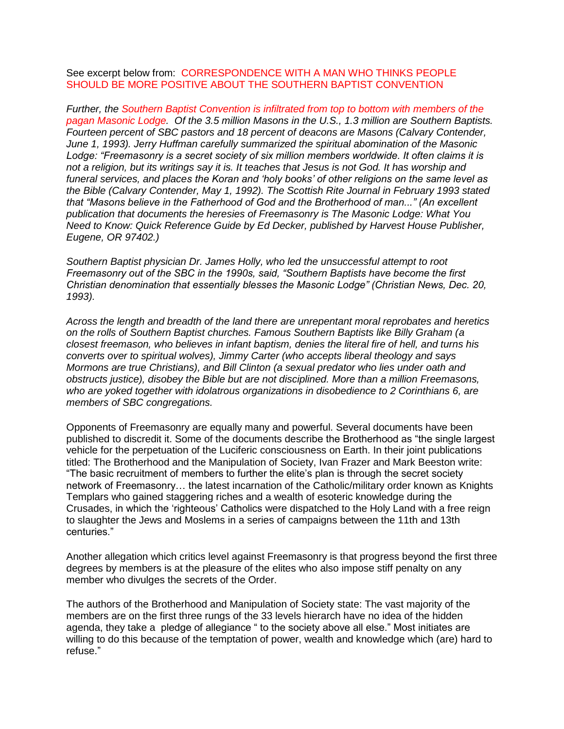See excerpt below from: CORRESPONDENCE WITH A MAN WHO THINKS PEOPLE SHOULD BE MORE POSITIVE ABOUT THE SOUTHERN BAPTIST CONVENTION

*Further, the Southern Baptist Convention is infiltrated from top to bottom with members of the pagan Masonic Lodge. Of the 3.5 million Masons in the U.S., 1.3 million are Southern Baptists. Fourteen percent of SBC pastors and 18 percent of deacons are Masons (Calvary Contender, June 1, 1993). Jerry Huffman carefully summarized the spiritual abomination of the Masonic Lodge: "Freemasonry is a secret society of six million members worldwide. It often claims it is not a religion, but its writings say it is. It teaches that Jesus is not God. It has worship and funeral services, and places the Koran and 'holy books' of other religions on the same level as the Bible (Calvary Contender, May 1, 1992). The Scottish Rite Journal in February 1993 stated that "Masons believe in the Fatherhood of God and the Brotherhood of man..." (An excellent publication that documents the heresies of Freemasonry is The Masonic Lodge: What You Need to Know: Quick Reference Guide by Ed Decker, published by Harvest House Publisher, Eugene, OR 97402.)*

*Southern Baptist physician Dr. James Holly, who led the unsuccessful attempt to root Freemasonry out of the SBC in the 1990s, said, "Southern Baptists have become the first Christian denomination that essentially blesses the Masonic Lodge" (Christian News, Dec. 20, 1993).*

*Across the length and breadth of the land there are unrepentant moral reprobates and heretics on the rolls of Southern Baptist churches. Famous Southern Baptists like Billy Graham (a closest freemason, who believes in infant baptism, denies the literal fire of hell, and turns his converts over to spiritual wolves), Jimmy Carter (who accepts liberal theology and says Mormons are true Christians), and Bill Clinton (a sexual predator who lies under oath and obstructs justice), disobey the Bible but are not disciplined. More than a million Freemasons, who are yoked together with idolatrous organizations in disobedience to 2 Corinthians 6, are members of SBC congregations.*

Opponents of Freemasonry are equally many and powerful. Several documents have been published to discredit it. Some of the documents describe the Brotherhood as "the single largest vehicle for the perpetuation of the Luciferic consciousness on Earth. In their joint publications titled: The Brotherhood and the Manipulation of Society, Ivan Frazer and Mark Beeston write: "The basic recruitment of members to further the elite's plan is through the secret society network of Freemasonry… the latest incarnation of the Catholic/military order known as Knights Templars who gained staggering riches and a wealth of esoteric knowledge during the Crusades, in which the 'righteous' Catholics were dispatched to the Holy Land with a free reign to slaughter the Jews and Moslems in a series of campaigns between the 11th and 13th centuries."

Another allegation which critics level against Freemasonry is that progress beyond the first three degrees by members is at the pleasure of the elites who also impose stiff penalty on any member who divulges the secrets of the Order.

The authors of the Brotherhood and Manipulation of Society state: The vast majority of the members are on the first three rungs of the 33 levels hierarch have no idea of the hidden agenda, they take a pledge of allegiance " to the society above all else." Most initiates are willing to do this because of the temptation of power, wealth and knowledge which (are) hard to refuse."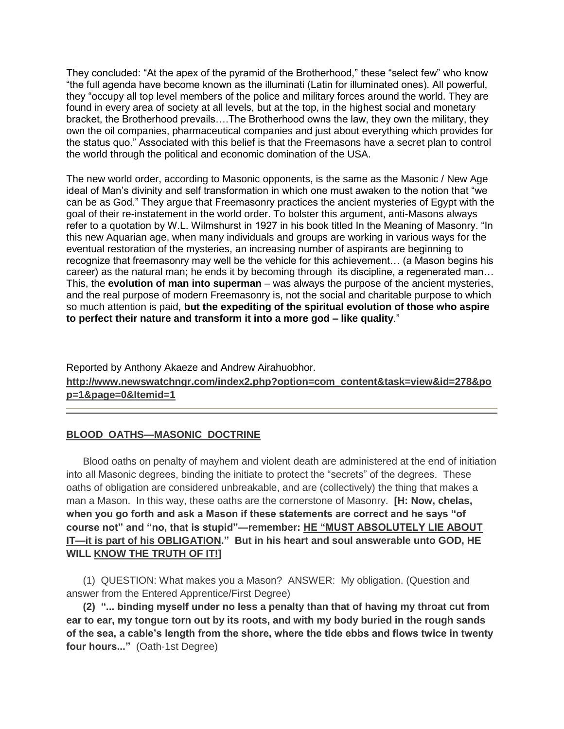They concluded: "At the apex of the pyramid of the Brotherhood," these "select few" who know "the full agenda have become known as the illuminati (Latin for illuminated ones). All powerful, they "occupy all top level members of the police and military forces around the world. They are found in every area of society at all levels, but at the top, in the highest social and monetary bracket, the Brotherhood prevails….The Brotherhood owns the law, they own the military, they own the oil companies, pharmaceutical companies and just about everything which provides for the status quo." Associated with this belief is that the Freemasons have a secret plan to control the world through the political and economic domination of the USA.

The new world order, according to Masonic opponents, is the same as the Masonic / New Age ideal of Man's divinity and self transformation in which one must awaken to the notion that "we can be as God." They argue that Freemasonry practices the ancient mysteries of Egypt with the goal of their re-instatement in the world order. To bolster this argument, anti-Masons always refer to a quotation by W.L. Wilmshurst in 1927 in his book titled In the Meaning of Masonry. "In this new Aquarian age, when many individuals and groups are working in various ways for the eventual restoration of the mysteries, an increasing number of aspirants are beginning to recognize that freemasonry may well be the vehicle for this achievement… (a Mason begins his career) as the natural man; he ends it by becoming through its discipline, a regenerated man… This, the **evolution of man into superman** – was always the purpose of the ancient mysteries, and the real purpose of modern Freemasonry is, not the social and charitable purpose to which so much attention is paid, **but the expediting of the spiritual evolution of those who aspire to perfect their nature and transform it into a more god – like quality**."

Reported by Anthony Akaeze and Andrew Airahuobhor. **http://www.newswatchngr.com/index2.php?option=com\_content&task=view&id=278&po p=1&page=0&Itemid=1**

# **BLOOD OATHS—MASONIC DOCTRINE**

Blood oaths on penalty of mayhem and violent death are administered at the end of initiation into all Masonic degrees, binding the initiate to protect the "secrets" of the degrees. These oaths of obligation are considered unbreakable, and are (collectively) the thing that makes a man a Mason. In this way, these oaths are the cornerstone of Masonry. **[H: Now, chelas, when you go forth and ask a Mason if these statements are correct and he says "of course not" and "no, that is stupid"—remember: HE "MUST ABSOLUTELY LIE ABOUT IT—it is part of his OBLIGATION." But in his heart and soul answerable unto GOD, HE WILL KNOW THE TRUTH OF IT!]**

(1) QUESTION: What makes you a Mason? ANSWER: My obligation. (Question and answer from the Entered Apprentice/First Degree)

**(2) "... binding myself under no less a penalty than that of having my throat cut from ear to ear, my tongue torn out by its roots, and with my body buried in the rough sands of the sea, a cable's length from the shore, where the tide ebbs and flows twice in twenty four hours..."** (Oath-1st Degree)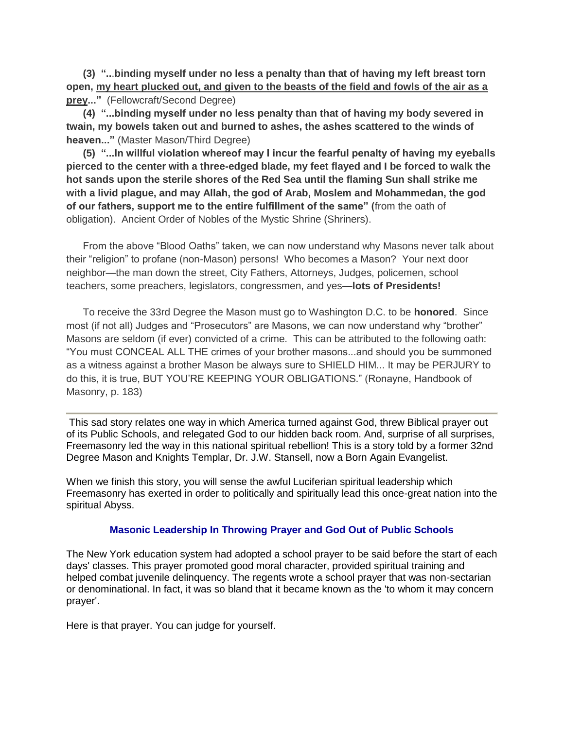**(3) "..**.**binding myself under no less a penalty than that of having my left breast torn open, my heart plucked out, and given to the beasts of the field and fowls of the air as a prey..."** (Fellowcraft/Second Degree)

**(4) "...binding myself under no less penalty than that of having my body severed in twain, my bowels taken out and burned to ashes, the ashes scattered to the winds of heaven..."** (Master Mason/Third Degree)

**(5) "...In willful violation whereof may I incur the fearful penalty of having my eyeballs pierced to the center with a three-edged blade, my feet flayed and I be forced to walk the hot sands upon the sterile shores of the Red Sea until the flaming Sun shall strike me with a livid plague, and may Allah, the god of Arab, Moslem and Mohammedan, the god of our fathers, support me to the entire fulfillment of the same" (**from the oath of obligation). Ancient Order of Nobles of the Mystic Shrine (Shriners).

From the above "Blood Oaths" taken, we can now understand why Masons never talk about their "religion" to profane (non-Mason) persons! Who becomes a Mason? Your next door neighbor—the man down the street, City Fathers, Attorneys, Judges, policemen, school teachers, some preachers, legislators, congressmen, and yes—**lots of Presidents!**

To receive the 33rd Degree the Mason must go to Washington D.C. to be **honored**. Since most (if not all) Judges and "Prosecutors" are Masons, we can now understand why "brother" Masons are seldom (if ever) convicted of a crime. This can be attributed to the following oath: "You must CONCEAL ALL THE crimes of your brother masons...and should you be summoned as a witness against a brother Mason be always sure to SHIELD HIM... It may be PERJURY to do this, it is true, BUT YOU'RE KEEPING YOUR OBLIGATIONS." (Ronayne, Handbook of Masonry, p. 183)

This sad story relates one way in which America turned against God, threw Biblical prayer out of its Public Schools, and relegated God to our hidden back room. And, surprise of all surprises, Freemasonry led the way in this national spiritual rebellion! This is a story told by a former 32nd Degree Mason and Knights Templar, Dr. J.W. Stansell, now a Born Again Evangelist.

When we finish this story, you will sense the awful Luciferian spiritual leadership which Freemasonry has exerted in order to politically and spiritually lead this once-great nation into the spiritual Abyss.

#### **Masonic Leadership In Throwing Prayer and God Out of Public Schools**

The New York education system had adopted a school prayer to be said before the start of each days' classes. This prayer promoted good moral character, provided spiritual training and helped combat juvenile delinquency. The regents wrote a school prayer that was non-sectarian or denominational. In fact, it was so bland that it became known as the 'to whom it may concern prayer'.

Here is that prayer. You can judge for yourself.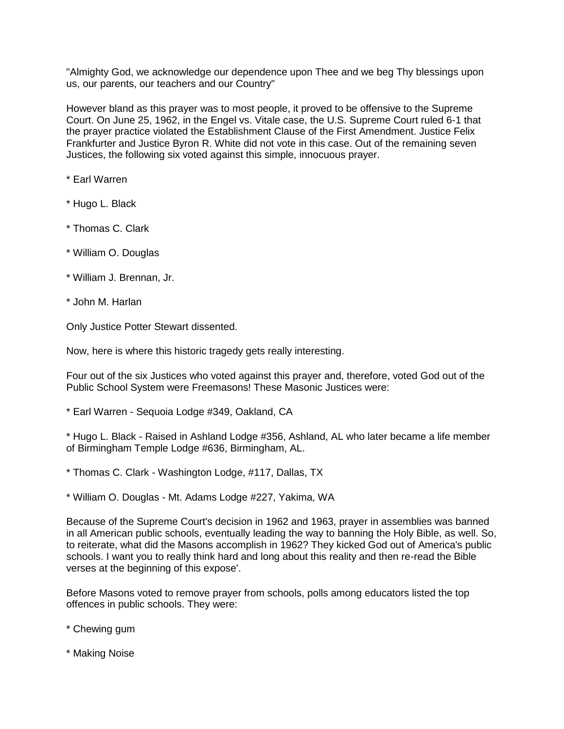"Almighty God, we acknowledge our dependence upon Thee and we beg Thy blessings upon us, our parents, our teachers and our Country"

However bland as this prayer was to most people, it proved to be offensive to the Supreme Court. On June 25, 1962, in the Engel vs. Vitale case, the U.S. Supreme Court ruled 6-1 that the prayer practice violated the Establishment Clause of the First Amendment. Justice Felix Frankfurter and Justice Byron R. White did not vote in this case. Out of the remaining seven Justices, the following six voted against this simple, innocuous prayer.

- \* Earl Warren
- \* Hugo L. Black
- \* Thomas C. Clark
- \* William O. Douglas
- \* William J. Brennan, Jr.
- \* John M. Harlan

Only Justice Potter Stewart dissented.

Now, here is where this historic tragedy gets really interesting.

Four out of the six Justices who voted against this prayer and, therefore, voted God out of the Public School System were Freemasons! These Masonic Justices were:

\* Earl Warren - Sequoia Lodge #349, Oakland, CA

\* Hugo L. Black - Raised in Ashland Lodge #356, Ashland, AL who later became a life member of Birmingham Temple Lodge #636, Birmingham, AL.

- \* Thomas C. Clark Washington Lodge, #117, Dallas, TX
- \* William O. Douglas Mt. Adams Lodge #227, Yakima, WA

Because of the Supreme Court's decision in 1962 and 1963, prayer in assemblies was banned in all American public schools, eventually leading the way to banning the Holy Bible, as well. So, to reiterate, what did the Masons accomplish in 1962? They kicked God out of America's public schools. I want you to really think hard and long about this reality and then re-read the Bible verses at the beginning of this expose'.

Before Masons voted to remove prayer from schools, polls among educators listed the top offences in public schools. They were:

- \* Chewing gum
- \* Making Noise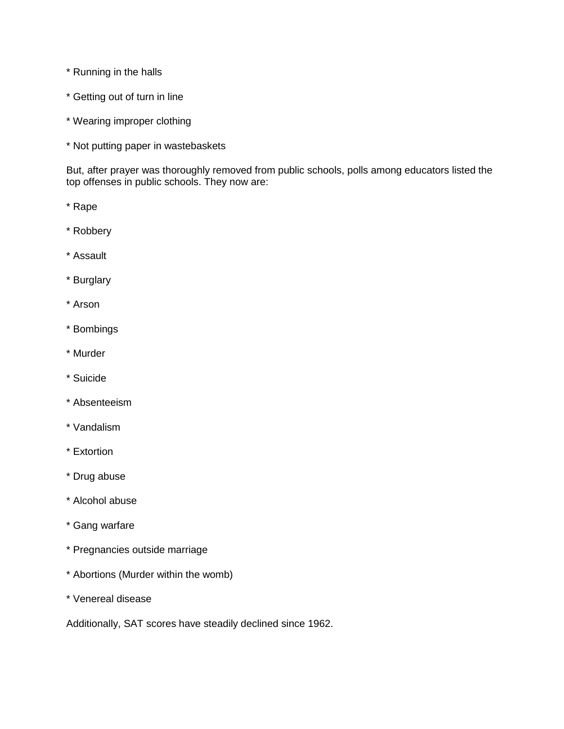- \* Running in the halls
- \* Getting out of turn in line
- \* Wearing improper clothing
- \* Not putting paper in wastebaskets

But, after prayer was thoroughly removed from public schools, polls among educators listed the top offenses in public schools. They now are:

- \* Rape
- \* Robbery
- \* Assault
- \* Burglary
- \* Arson
- \* Bombings
- \* Murder
- \* Suicide
- \* Absenteeism
- \* Vandalism
- \* Extortion
- \* Drug abuse
- \* Alcohol abuse
- \* Gang warfare
- \* Pregnancies outside marriage
- \* Abortions (Murder within the womb)
- \* Venereal disease

Additionally, SAT scores have steadily declined since 1962.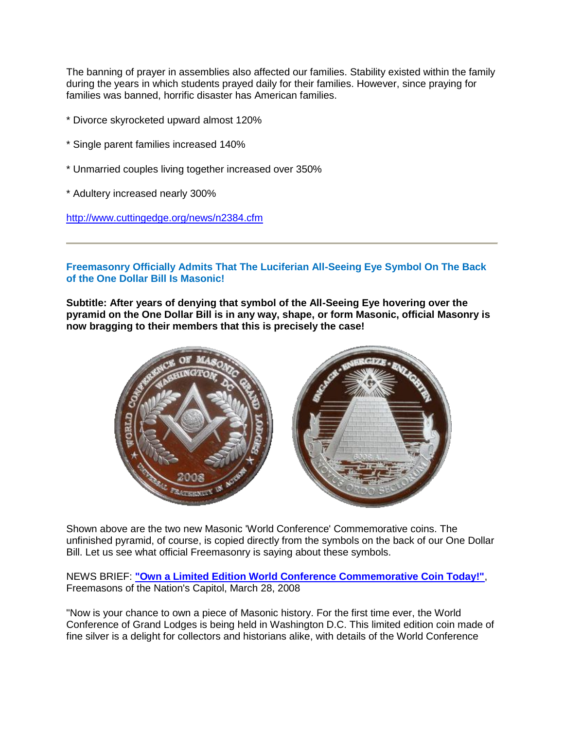The banning of prayer in assemblies also affected our families. Stability existed within the family during the years in which students prayed daily for their families. However, since praying for families was banned, horrific disaster has American families.

- \* Divorce skyrocketed upward almost 120%
- \* Single parent families increased 140%
- \* Unmarried couples living together increased over 350%
- \* Adultery increased nearly 300%

<http://www.cuttingedge.org/news/n2384.cfm>

# **Freemasonry Officially Admits That The Luciferian All-Seeing Eye Symbol On The Back of the One Dollar Bill Is Masonic!**

**Subtitle: After years of denying that symbol of the All-Seeing Eye hovering over the pyramid on the One Dollar Bill is in any way, shape, or form Masonic, official Masonry is now bragging to their members that this is precisely the case!**



Shown above are the two new Masonic 'World Conference' Commemorative coins. The unfinished pyramid, of course, is copied directly from the symbols on the back of our One Dollar Bill. Let us see what official Freemasonry is saying about these symbols.

NEWS BRIEF: **["Own a Limited Edition World Conference Commemorative Coin Today!"](http://www.dcgrandlodge.org/archives/89)**, Freemasons of the Nation's Capitol, March 28, 2008

"Now is your chance to own a piece of Masonic history. For the first time ever, the World Conference of Grand Lodges is being held in Washington D.C. This limited edition coin made of fine silver is a delight for collectors and historians alike, with details of the World Conference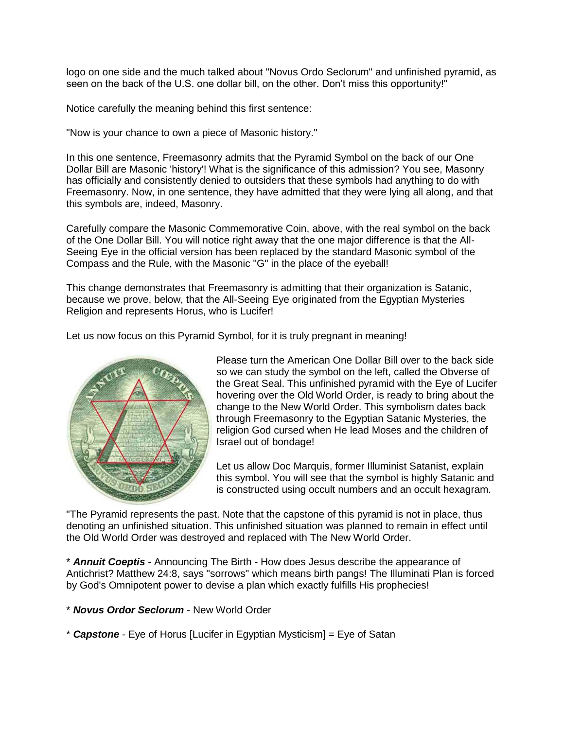logo on one side and the much talked about "Novus Ordo Seclorum" and unfinished pyramid, as seen on the back of the U.S. one dollar bill, on the other. Don't miss this opportunity!"

Notice carefully the meaning behind this first sentence:

"Now is your chance to own a piece of Masonic history."

In this one sentence, Freemasonry admits that the Pyramid Symbol on the back of our One Dollar Bill are Masonic 'history'! What is the significance of this admission? You see, Masonry has officially and consistently denied to outsiders that these symbols had anything to do with Freemasonry. Now, in one sentence, they have admitted that they were lying all along, and that this symbols are, indeed, Masonry.

Carefully compare the Masonic Commemorative Coin, above, with the real symbol on the back of the One Dollar Bill. You will notice right away that the one major difference is that the All-Seeing Eye in the official version has been replaced by the standard Masonic symbol of the Compass and the Rule, with the Masonic "G" in the place of the eyeball!

This change demonstrates that Freemasonry is admitting that their organization is Satanic, because we prove, below, that the All-Seeing Eye originated from the Egyptian Mysteries Religion and represents Horus, who is Lucifer!

Let us now focus on this Pyramid Symbol, for it is truly pregnant in meaning!



Please turn the American One Dollar Bill over to the back side so we can study the symbol on the left, called the Obverse of the Great Seal. This unfinished pyramid with the Eye of Lucifer hovering over the Old World Order, is ready to bring about the change to the New World Order. This symbolism dates back through Freemasonry to the Egyptian Satanic Mysteries, the religion God cursed when He lead Moses and the children of Israel out of bondage!

Let us allow Doc Marquis, former Illuminist Satanist, explain this symbol. You will see that the symbol is highly Satanic and is constructed using occult numbers and an occult hexagram.

"The Pyramid represents the past. Note that the capstone of this pyramid is not in place, thus denoting an unfinished situation. This unfinished situation was planned to remain in effect until the Old World Order was destroyed and replaced with The New World Order.

\* *Annuit Coeptis* - Announcing The Birth - How does Jesus describe the appearance of Antichrist? Matthew 24:8, says "sorrows" which means birth pangs! The Illuminati Plan is forced by God's Omnipotent power to devise a plan which exactly fulfills His prophecies!

\* *Novus Ordor Seclorum* - New World Order

\* *Capstone* - Eye of Horus [Lucifer in Egyptian Mysticism] = Eye of Satan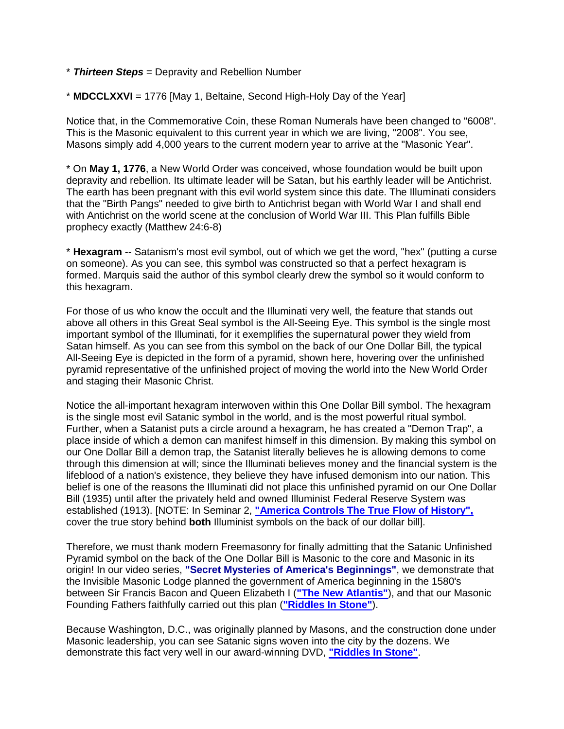- \* *Thirteen Steps* = Depravity and Rebellion Number
- \* **MDCCLXXVI** = 1776 [May 1, Beltaine, Second High-Holy Day of the Year]

Notice that, in the Commemorative Coin, these Roman Numerals have been changed to "6008". This is the Masonic equivalent to this current year in which we are living, "2008". You see, Masons simply add 4,000 years to the current modern year to arrive at the "Masonic Year".

\* On **May 1, 1776**, a New World Order was conceived, whose foundation would be built upon depravity and rebellion. Its ultimate leader will be Satan, but his earthly leader will be Antichrist. The earth has been pregnant with this evil world system since this date. The Illuminati considers that the "Birth Pangs" needed to give birth to Antichrist began with World War I and shall end with Antichrist on the world scene at the conclusion of World War III. This Plan fulfills Bible prophecy exactly (Matthew 24:6-8)

\* **Hexagram** -- Satanism's most evil symbol, out of which we get the word, "hex" (putting a curse on someone). As you can see, this symbol was constructed so that a perfect hexagram is formed. Marquis said the author of this symbol clearly drew the symbol so it would conform to this hexagram.

For those of us who know the occult and the Illuminati very well, the feature that stands out above all others in this Great Seal symbol is the All-Seeing Eye. This symbol is the single most important symbol of the Illuminati, for it exemplifies the supernatural power they wield from Satan himself. As you can see from this symbol on the back of our One Dollar Bill, the typical All-Seeing Eye is depicted in the form of a pyramid, shown here, hovering over the unfinished pyramid representative of the unfinished project of moving the world into the New World Order and staging their Masonic Christ.

Notice the all-important hexagram interwoven within this One Dollar Bill symbol. The hexagram is the single most evil Satanic symbol in the world, and is the most powerful ritual symbol. Further, when a Satanist puts a circle around a hexagram, he has created a "Demon Trap", a place inside of which a demon can manifest himself in this dimension. By making this symbol on our One Dollar Bill a demon trap, the Satanist literally believes he is allowing demons to come through this dimension at will; since the Illuminati believes money and the financial system is the lifeblood of a nation's existence, they believe they have infused demonism into our nation. This belief is one of the reasons the Illuminati did not place this unfinished pyramid on our One Dollar Bill (1935) until after the privately held and owned Illuminist Federal Reserve System was established (1913). [NOTE: In Seminar 2, **["America Controls The True Flow of History",](http://www.cuttingedge.org/detail.cfm?ID=6)** cover the true story behind **both** Illuminist symbols on the back of our dollar bill].

Therefore, we must thank modern Freemasonry for finally admitting that the Satanic Unfinished Pyramid symbol on the back of the One Dollar Bill is Masonic to the core and Masonic in its origin! In our video series, **"Secret Mysteries of America's Beginnings"**, we demonstrate that the Invisible Masonic Lodge planned the government of America beginning in the 1580's between Sir Francis Bacon and Queen Elizabeth I (**["The New Atlantis"](http://www.cuttingedge.org/detail.cfm?ID=1134)**), and that our Masonic Founding Fathers faithfully carried out this plan (**["Riddles In Stone"](http://www.cuttingedge.org/detail.cfm?ID=1319)**).

Because Washington, D.C., was originally planned by Masons, and the construction done under Masonic leadership, you can see Satanic signs woven into the city by the dozens. We demonstrate this fact very well in our award-winning DVD, **["Riddles In Stone"](http://www.cuttingedge.org/detail.cfm?ID=1319)**.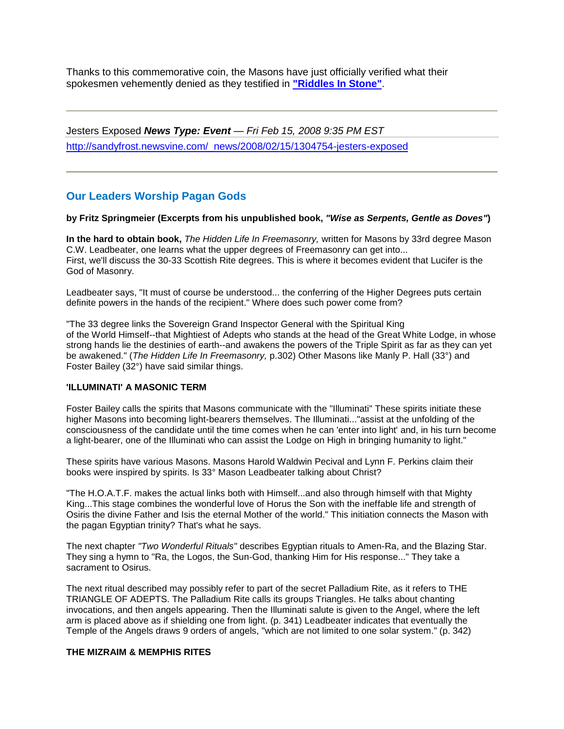Thanks to this commemorative coin, the Masons have just officially verified what their spokesmen vehemently denied as they testified in **["Riddles In Stone"](http://www.cuttingedge.org/detail.cfm?ID=1319)**.

Jesters Exposed *News Type: Event — Fri Feb 15, 2008 9:35 PM EST* [http://sandyfrost.newsvine.com/\\_news/2008/02/15/1304754-jesters-exposed](http://sandyfrost.newsvine.com/_news/2008/02/15/1304754-jesters-exposed)

# **Our Leaders Worship Pagan Gods**

#### **by Fritz Springmeier (Excerpts from his unpublished book,** *"Wise as Serpents, Gentle as Doves"***)**

**In the hard to obtain book,** *The Hidden Life In Freemasonry,* written for Masons by 33rd degree Mason C.W. Leadbeater, one learns what the upper degrees of Freemasonry can get into... First, we'll discuss the 30-33 Scottish Rite degrees. This is where it becomes evident that Lucifer is the God of Masonry.

Leadbeater says, "It must of course be understood... the conferring of the Higher Degrees puts certain definite powers in the hands of the recipient." Where does such power come from?

"The 33 degree links the Sovereign Grand Inspector General with the Spiritual King of the World Himself--that Mightiest of Adepts who stands at the head of the Great White Lodge, in whose strong hands lie the destinies of earth--and awakens the powers of the Triple Spirit as far as they can yet be awakened." (*The Hidden Life In Freemasonry,* p.302) Other Masons like Manly P. Hall (33°) and Foster Bailey (32°) have said similar things.

#### **'ILLUMINATI' A MASONIC TERM**

Foster Bailey calls the spirits that Masons communicate with the "Illuminati" These spirits initiate these higher Masons into becoming light-bearers themselves. The Illuminati..."assist at the unfolding of the consciousness of the candidate until the time comes when he can 'enter into light' and, in his turn become a light-bearer, one of the Illuminati who can assist the Lodge on High in bringing humanity to light."

These spirits have various Masons. Masons Harold Waldwin Pecival and Lynn F. Perkins claim their books were inspired by spirits. Is 33° Mason Leadbeater talking about Christ?

"The H.O.A.T.F. makes the actual links both with Himself...and also through himself with that Mighty King...This stage combines the wonderful love of Horus the Son with the ineffable life and strength of Osiris the divine Father and Isis the eternal Mother of the world." This initiation connects the Mason with the pagan Egyptian trinity? That's what he says.

The next chapter *"Two Wonderful Rituals"* describes Egyptian rituals to Amen-Ra, and the Blazing Star. They sing a hymn to "Ra, the Logos, the Sun-God, thanking Him for His response..." They take a sacrament to Osirus.

The next ritual described may possibly refer to part of the secret Palladium Rite, as it refers to THE TRIANGLE OF ADEPTS. The Palladium Rite calls its groups Triangles. He talks about chanting invocations, and then angels appearing. Then the Illuminati salute is given to the Angel, where the left arm is placed above as if shielding one from light. (p. 341) Leadbeater indicates that eventually the Temple of the Angels draws 9 orders of angels, "which are not limited to one solar system." (p. 342)

#### **THE MIZRAIM & MEMPHIS RITES**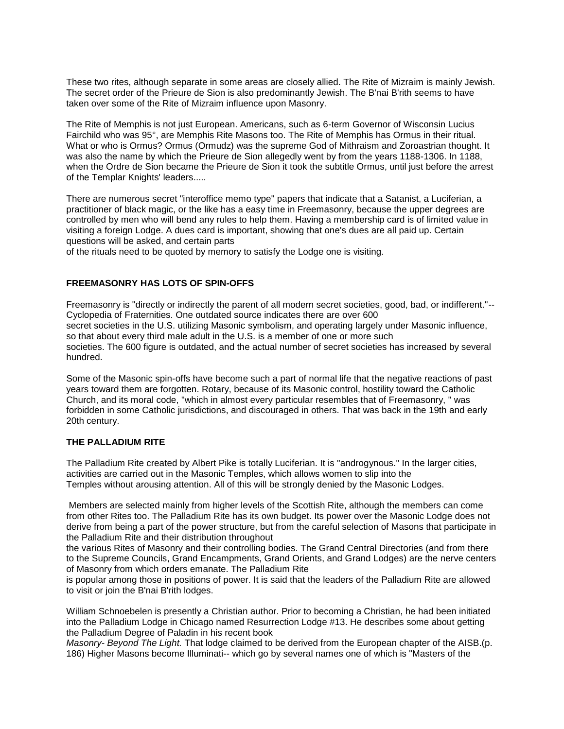These two rites, although separate in some areas are closely allied. The Rite of Mizraim is mainly Jewish. The secret order of the Prieure de Sion is also predominantly Jewish. The B'nai B'rith seems to have taken over some of the Rite of Mizraim influence upon Masonry.

The Rite of Memphis is not just European. Americans, such as 6-term Governor of Wisconsin Lucius Fairchild who was 95°, are Memphis Rite Masons too. The Rite of Memphis has Ormus in their ritual. What or who is Ormus? Ormus (Ormudz) was the supreme God of Mithraism and Zoroastrian thought. It was also the name by which the Prieure de Sion allegedly went by from the years 1188-1306. In 1188, when the Ordre de Sion became the Prieure de Sion it took the subtitle Ormus, until just before the arrest of the Templar Knights' leaders.....

There are numerous secret "interoffice memo type" papers that indicate that a Satanist, a Luciferian, a practitioner of black magic, or the like has a easy time in Freemasonry, because the upper degrees are controlled by men who will bend any rules to help them. Having a membership card is of limited value in visiting a foreign Lodge. A dues card is important, showing that one's dues are all paid up. Certain questions will be asked, and certain parts

of the rituals need to be quoted by memory to satisfy the Lodge one is visiting.

#### **FREEMASONRY HAS LOTS OF SPIN-OFFS**

Freemasonry is "directly or indirectly the parent of all modern secret societies, good, bad, or indifferent."-- Cyclopedia of Fraternities. One outdated source indicates there are over 600 secret societies in the U.S. utilizing Masonic symbolism, and operating largely under Masonic influence, so that about every third male adult in the U.S. is a member of one or more such societies. The 600 figure is outdated, and the actual number of secret societies has increased by several hundred.

Some of the Masonic spin-offs have become such a part of normal life that the negative reactions of past years toward them are forgotten. Rotary, because of its Masonic control, hostility toward the Catholic Church, and its moral code, "which in almost every particular resembles that of Freemasonry, " was forbidden in some Catholic jurisdictions, and discouraged in others. That was back in the 19th and early 20th century.

#### **THE PALLADIUM RITE**

The Palladium Rite created by Albert Pike is totally Luciferian. It is "androgynous." In the larger cities, activities are carried out in the Masonic Temples, which allows women to slip into the Temples without arousing attention. All of this will be strongly denied by the Masonic Lodges.

Members are selected mainly from higher levels of the Scottish Rite, although the members can come from other Rites too. The Palladium Rite has its own budget. Its power over the Masonic Lodge does not derive from being a part of the power structure, but from the careful selection of Masons that participate in the Palladium Rite and their distribution throughout

the various Rites of Masonry and their controlling bodies. The Grand Central Directories (and from there to the Supreme Councils, Grand Encampments, Grand Orients, and Grand Lodges) are the nerve centers of Masonry from which orders emanate. The Palladium Rite

is popular among those in positions of power. It is said that the leaders of the Palladium Rite are allowed to visit or join the B'nai B'rith lodges.

William Schnoebelen is presently a Christian author. Prior to becoming a Christian, he had been initiated into the Palladium Lodge in Chicago named Resurrection Lodge #13. He describes some about getting the Palladium Degree of Paladin in his recent book

*Masonry- Beyond The Light.* That lodge claimed to be derived from the European chapter of the AISB.(p. 186) Higher Masons become Illuminati-- which go by several names one of which is "Masters of the